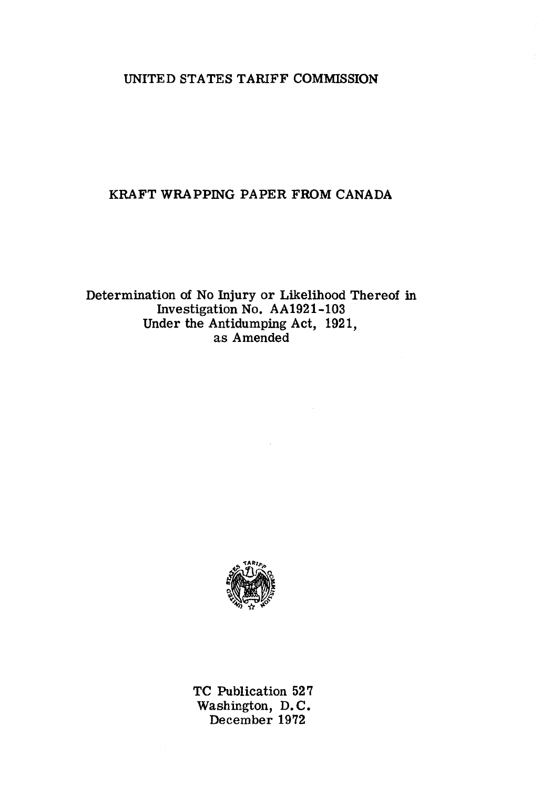# UNITED STATES TARIFF COMMISSION

## KRAFT WRAPPING PAPER FROM CANADA

Determination of No Injury or Likelihood Thereof in Investigation No. AA1921-103 Under the Antidumping Act, 1921, as Amended



TC Publication 527 Washington, D.C. December 1972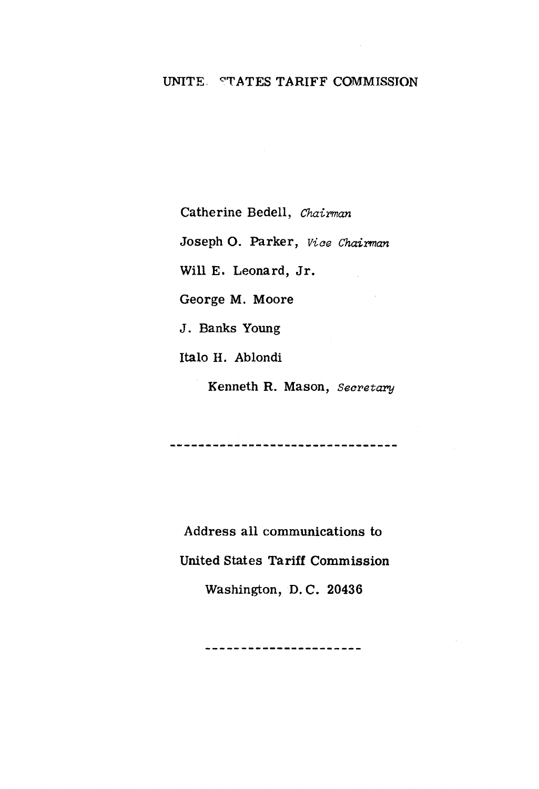## UNITE STATES TARIFF COMMISSION

Catherine Bedell, Chairman

Joseph O. Parker, Vice Chairman

Will E. Leonard, Jr.

George M. Moore

J. Banks Young

Italo H. Ablondi

Kenneth R. Mason, Secretary

Address all communications to **United States Tariff Commission** 

Washington, D.C. 20436

-----------------------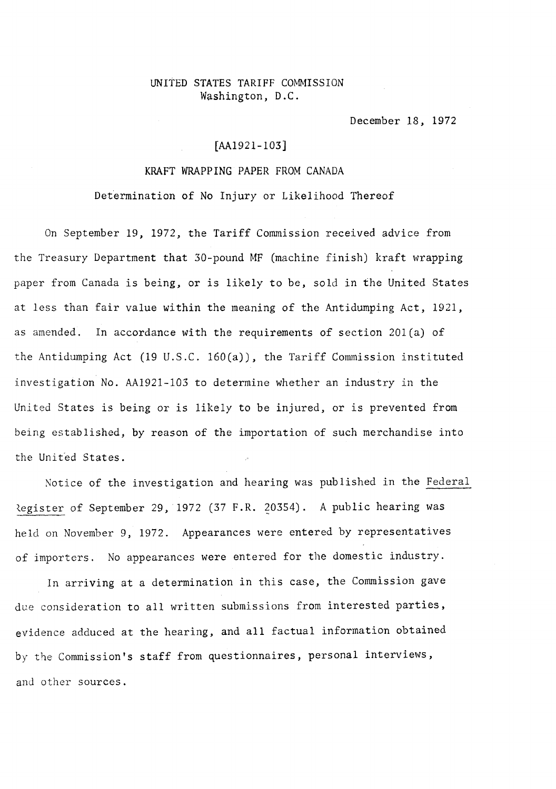### UNITED STATES TARIFF COMMISSION Washington, D.C.

December 18, 1972

## [AA1921-103]

### KRAFT WRAPPING PAPER FROM CANADA

Determination of No Injury or Likelihood Thereof

On September 19, 1972, the Tariff Commission received advice from the Treasury Department that 30-pound MF (machine finish) kraft wrapping paper from Canada is being, or is likely to be, sold in the United States at less than fair value within the meaning of the Antidumping Act, 1921, as amended. In accordance with the requirements of section 20l(a) of the Antidumping Act (19 U.S.C. 160(a)), the Tariff Commission instituted investigation No. AA1921-103 to determine whether an industry in the United States is being or is likely to be injured, or is prevented from being established, by reason of the importation of such merchandise into the United States.

Notice of the investigation and hearing was published in the Federal Register of September 29, 1972 (37 F.R. 20354). A public hearing was held on November 9, 1972. Appearances were entered by representatives of importers. No appearances were entered for the domestic industry.

In arriving at a determination in this case, the Commission gave due consideration to all written submissions from interested parties, evidence adduced at the hearing, and all factual information obtained by the Commission's staff from questionnaires, personal interviews, and other sources.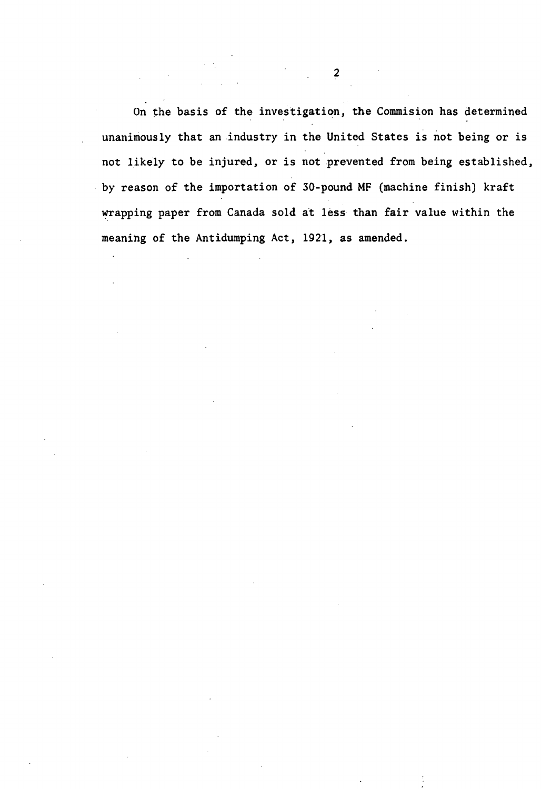On the basis of the investigation, the Commision has determined unanimously that an industry in the United States is not being or is not likely to be injured, or is not prevented from being established, . by reason of the importation of 30-pound MF (machine finish) kraft wrapping paper from Canada sold at less than fair value within the meaning of the Antidumping Act, 1921, as amended.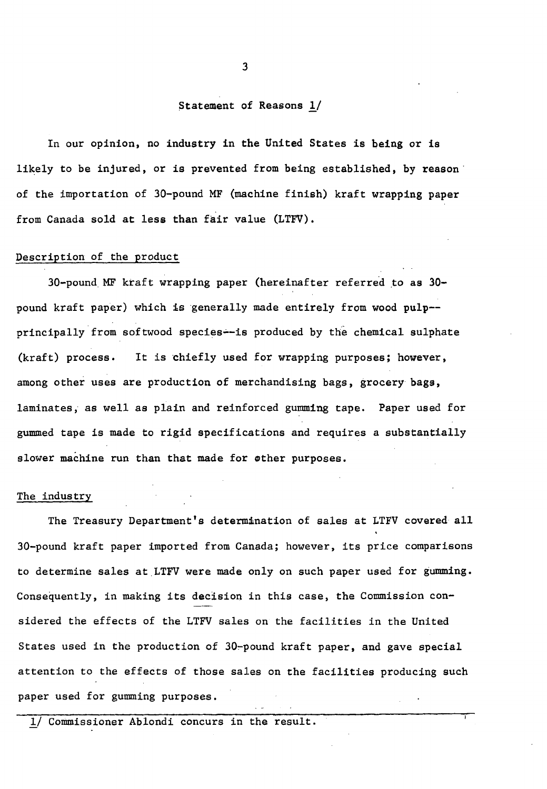#### Statement of Reasons  $1/$

In our opinion, no industry in the United States is being or is likely to be injured, or is prevented from being established, by reason of the importation of 30-pound MF (machine finish) kraft wrapping paper from Canada sold at less than fair value (LTFV).

## Description of the product

 $30$ -pound MF kraft wrapping paper (hereinafter referred to as  $30$ pound kraft paper) which is generally made entirely from wood pulp- principally from softwood species--is produced by the chemical sulphate  $(kraft)$  process. It is chiefly used for wrapping purposes; however, among other uses are production of merchandising bags, grocery bags, laminates, as well as plain and reinforced gumming tape. Paper used for gummed tape is made to rigid specifications and requires a substantially slower machine run than that made for other purposes.

#### The industry

The Treasury Department's determination of sales at LTFV covered all 30-pound kraft paper imported from Canada; however, its price comparisons to determine sales at LTFV were made only on such paper used for gumming. Consequently, in making its decision in this case, the Commission considered the effects of the LTFV sales on the facilities in the United States used in the production of 30~pound kraft paper, and gave special attention to the effects of those sales on the facilities producing such paper used for gumming purposes.

*1./* Commissioner Ablondi concurs in the result.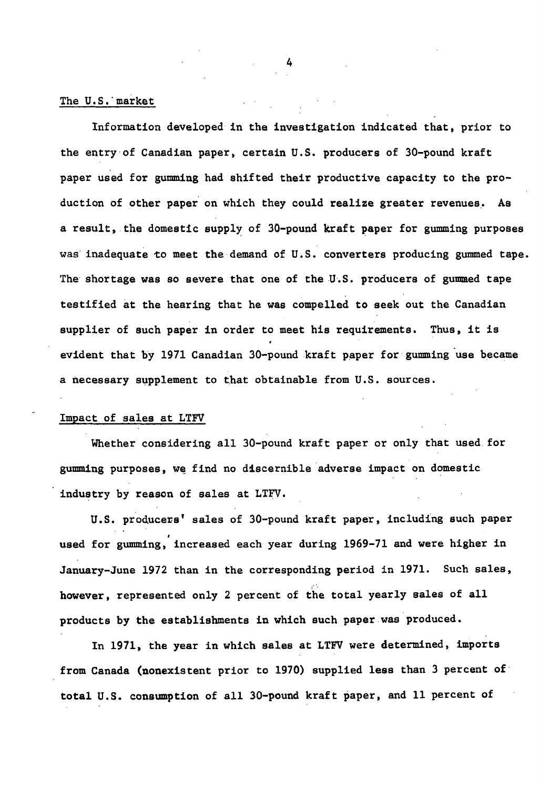#### The U.S. market

Information developed in the investigation indicated that, prior to the entry·of Canadian paper, certain U.S. producers of 30-pound kraft paper used for gumming had shifted their productive capacity to the production of other paper on which they could realize greater revenues.. As a result, the domestic supply of 30-pound kraft paper for gumming purposes was inadequate to meet the demand of U.S. converters producing gummed tape. The shortage was so severe that one of the U.S. producers of gummed tape testified at the hearing that he was compelled to seek out the Canadian supplier of such paper in order to meet his requirements. Thus, it is evident that by 1971 Canadian 30-pound kraft paper for gumming use became a necessary supplement to that obtainable from U.S. sources.

### Impact of sales at LTFV

Whether considering all 30-pound kraft paper or only that used. for gumming purposes, we find no discernible adverse impact on domestic industry by reason of sales at LTFV.

U.S. producers' sales of 30-pound kraft paper, including such paper used for gumming, increased each year during 1969-71 and were higher in January-June 1972 than in the corresponding period in 1971. Such sales, however, represented only 2 percent of the total yearly sales of all products by the establishments in which such paper was produced.

In 1971, the year in which sales at LTFV were determined, imports from Canada (nonexistent prior to 1970) supplied less than 3 percent of total U.S. consumption of all 30-pound kraft paper, and 11 percent of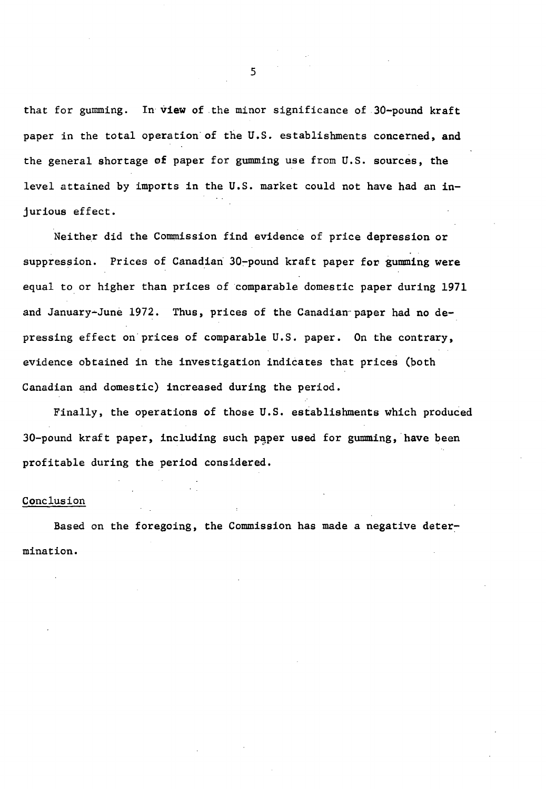that for gumming. In view of the minor significance of 30-pound kraft paper in the total operation of the U.S. establishments concerned, and the general shortage of paper for gumming use from U.S. sources, the level attained by imports in the U.S. market could not have had an injurious effect.

Neither did the Commission find evidence of price depression or suppression. Prices of Canadian 30-pound kraft paper for gumming were equal to or higher than prices of comparable domestic paper during 1971 and January-June 1972. Thus, prices of the Canadian paper had no depressing effect on prices of comparable U.S. paper. On the contrary, evidence obtained in the investigation indicates that prices (both Canadian and domestic) increased during the period.

Finally, the operations of those U.S. establishments which produced 30-pound kraft paper, including such paper used for gumming, have been profitable during the period considered.

#### Conclusion

Based on the foregoing, the Commission has made a negative determination.